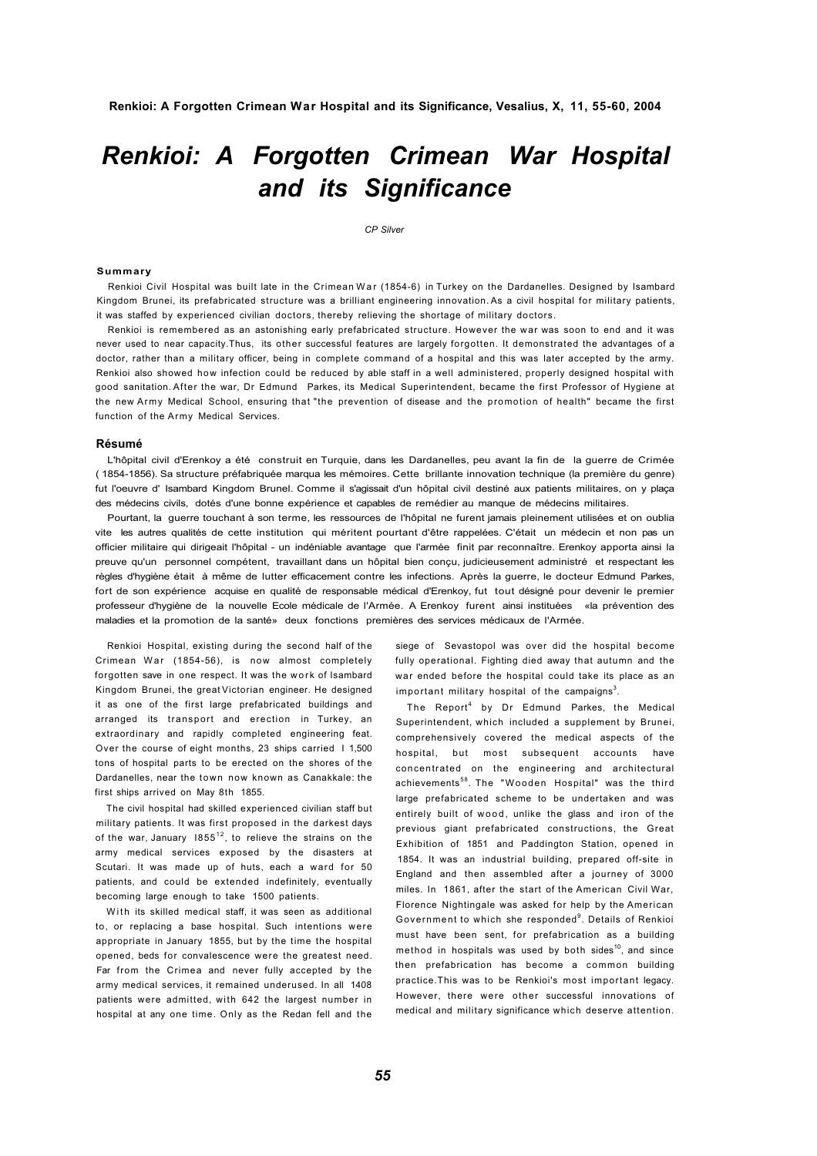# *Renkioi: A Forgotten Crimean War Hospital and its Significance*

*CP Silver* 

#### **Summary**

Renkioi Civil Hospital was built late in the Crimean War (1854-6) in Turkey on the Dardanelles. Designed by Isambard Kingdom Brunei, its prefabricated structure was a brilliant engineering innovation. As a civil hospital for military patients, it was staffed by experienced civilian doctors, thereby relieving the shortage of military doctors.

Renkioi is remembered as an astonishing early prefabricated structure. However the war was soon to end and it was never used to near capacity.Thus, its other successful features are largely forgotten. It demonstrated the advantages of a doctor, rather than a military officer, being in complete command of a hospital and this was later accepted by the army. Renkioi also showed how infection could be reduced by able staff in a well administered, properly designed hospital with good sanitation. After the war, Dr Edmund, Parkes, its Medical Superintendent, became the first Professor of Hygiene at the new Army Medical School, ensuring that "the prevention of disease and the promotion of health" became the first function of the Army Medical Services.

## **Résumé**

L'hôpital civil d'Erenkoy a été construit en Turquie, dans les Dardanelles, peu avant la fin de la guerre de Crimée ( 1854-1856). Sa structure préfabriquée marqua les mémoires. Cette brillante innovation technique (la première du genre) fut l'oeuvre d' Isambard Kingdom Brunel. Comme il s'agissait d'un hôpital civil destiné aux patients militaires, on y plaça des médecins civils, dotés d'une bonne expérience et capables de remédier au manque de médecins militaires.

Pourtant, la guerre touchant à son terme, les ressources de l'hôpital ne furent jamais pleinement utilisées et on oublia vite les autres qualités de cette institution qui méritent pourtant d'être rappelées. C'était un médecin et non pas un officier militaire qui dirigeait l'hôpital - un indéniable avantage que l'armée finit par reconnaître. Erenkoy apporta ainsi la preuve qu'un personnel compétent, travaillant dans un hôpital bien conçu, judicieusement administré et respectant les règles d'hygiène était à même de lutter efficacement contre les infections. Après la guerre, le docteur Edmund Parkes, fort de son expérience acquise en qualité de responsable médical d'Erenkoy, fut tout désigné pour devenir le premier professeur d'hygiène de la nouvelle Ecole médicale de l'Armée. A Erenkoy furent ainsi instituées «la prévention des maladies et la promotion de la santé» deux fonctions premières des services médicaux de l'Armée.

Renkioi Hospital, existing during the second half of the Crimean War (1854-56), is now almost completely forgotten save in one respect. It was the work of Isambard Kingdom Brunei, the great Victorian engineer. He designed it as one of the first large prefabricated buildings and arranged its transport and erection in Turkey, an extraordinary and rapidly completed engineering feat. Over the course of eight months, 23 ships carried I 1,500 tons of hospital parts to be erected on the shores of the Dardanelles, near the town now known as Canakkale: the first ships arrived on May 8th 1855.

The civil hospital had skilled experienced civilian staff but military patients. It was first proposed in the darkest days of the war, January  $1855^{12}$ , to relieve the strains on the army medical services exposed by the disasters at Scutari. It was made up of huts, each a ward for 50 patients, and could be extended indefinitely, eventually becoming large enough to take 1500 patients.

With its skilled medical staff, it was seen as additional to, or replacing a base hospital. Such intentions were appropriate in January 1855, but by the time the hospital opened, beds for convalescence were the greatest need. Far from the Crimea and never fully accepted by the army medical services, it remained underused. In all 1408 patients were admitted, with 642 the largest number in hospital at any one time. Only as the Redan fell and the siege of Sevastopol was over did the hospital become fully operational. Fighting died away that autumn and the war ended before the hospital could take its place as an important military hospital of the campaigns $^3$ .

The Report<sup>4</sup> by Dr Edmund Parkes, the Medical Superintendent, which included a supplement by Brunei, comprehensively covered the medical aspects of the hospital, but most subsequent accounts have concentrated on the engineering and architectural achievements<sup>58</sup>. The "Wooden Hospital" was the third large prefabricated scheme to be undertaken and was entirely built of wood, unlike the glass and iron of the previous giant prefabricated constructions, the Great Exhibition of 1851 and Paddington Station, opened in 1854. It was an industrial building, prepared off-site in England and then assembled after a journey of 3000 miles. In 1861, after the start of the American Civil War, Florence Nightingale was asked for help by the American Government to which she responded<sup>9</sup>. Details of Renkioi must have been sent, for prefabrication as a building method in hospitals was used by both sides $^{10}$ , and since then prefabrication has become a common building practice.This was to be Renkioi's most important legacy. However, there were other successful innovations of medical and military significance which deserve attention.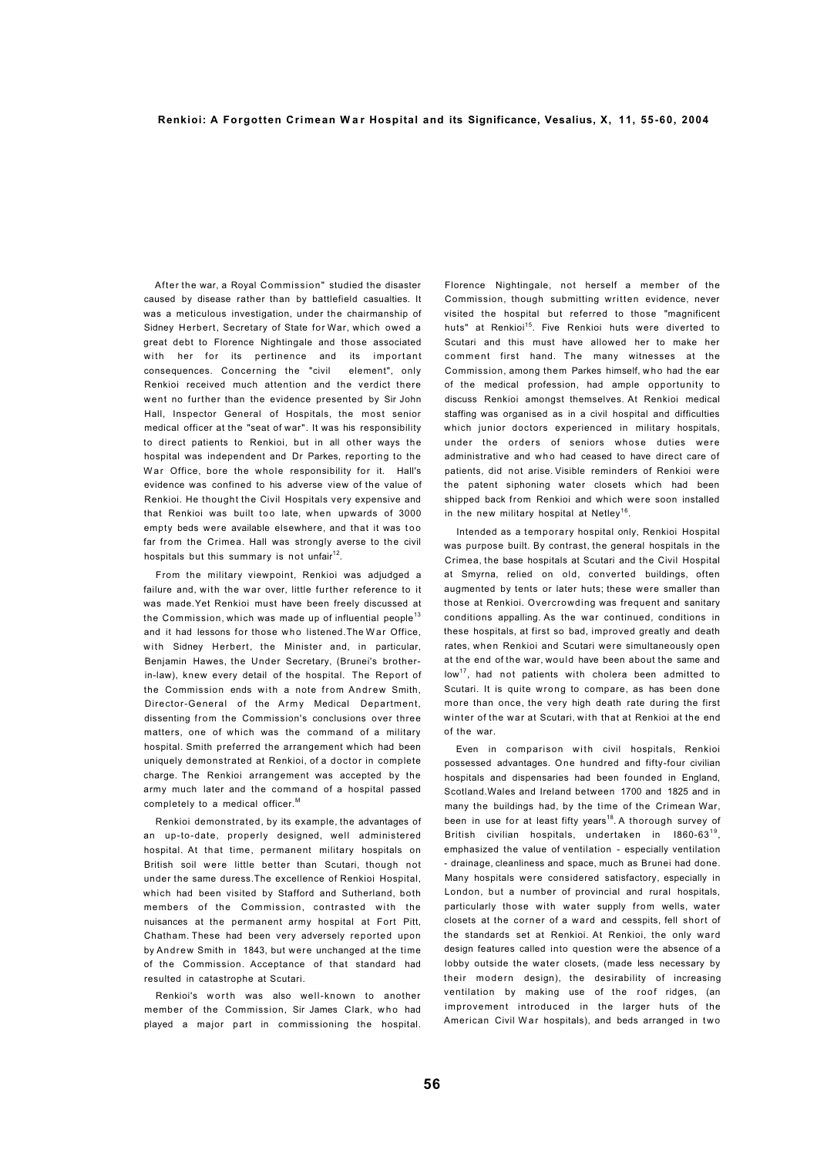After the war, a Royal Commission" studied the disaster caused by disease rather than by battlefield casualties. It was a meticulous investigation, under the chairmanship of Sidney Herbert, Secretary of State for War, which owed a great debt to Florence Nightingale and those associated with her for its pertinence and its important consequences. Concerning the "civil element", only Renkioi received much attention and the verdict there went no further than the evidence presented by Sir John Hall, Inspector General of Hospitals, the most senior medical officer at the "seat of war". It was his responsibility to direct patients to Renkioi, but in all other ways the hospital was independent and Dr Parkes, reporting to the War Office, bore the whole responsibility for it. Hall's evidence was confined to his adverse view of the value of Renkioi. He thought the Civil Hospitals very expensive and that Renkioi was built too late, when upwards of 3000 empty beds were available elsewhere, and that it was too far from the Crimea. Hall was strongly averse to the civil hospitals but this summary is not unfair $^{\text{12}}$ .

From the military viewpoint, Renkioi was adjudged a failure and, with the war over, little further reference to it was made.Yet Renkioi must have been freely discussed at the Commission, which was made up of influential people<sup>13</sup> and it had lessons for those who listened. The War Office, with Sidney Herbert, the Minister and, in particular, Benjamin Hawes, the Under Secretary, (Brunei's brotherin-law), knew every detail of the hospital. The Report of the Commission ends with a note from Andrew Smith, Director-General of the Army Medical Department, dissenting from the Commission's conclusions over three matters, one of which was the command of a military hospital. Smith preferred the arrangement which had been uniquely demonstrated at Renkioi, of a doctor in complete charge. The Renkioi arrangement was accepted by the army much later and the command of a hospital passed completely to a medical officer.<sup>M</sup>

Renkioi demonstrated, by its example, the advantages of an up-to-date, properly designed, well administered hospital. At that time, permanent military hospitals on British soil were little better than Scutari, though not under the same duress.The excellence of Renkioi Hospital, which had been visited by Stafford and Sutherland, both members of the Commission, contrasted with the nuisances at the permanent army hospital at Fort Pitt, Chatham. These had been very adversely reported upon by Andrew Smith in 1843, but were unchanged at the time of the Commission. Acceptance of that standard had resulted in catastrophe at Scutari.

Renkioi's worth was also well-known to another member of the Commission, Sir James Clark, who had played a major part in commissioning the hospital. Florence Nightingale, not herself a member of the Commission, though submitting written evidence, never visited the hospital but referred to those "magnificent huts" at Renkioi<sup>15</sup>. Five Renkioi huts were diverted to Scutari and this must have allowed her to make her comment first hand. The many witnesses at the Commission, among them Parkes himself, who had the ear of the medical profession, had ample opportunity to discuss Renkioi amongst themselves. At Renkioi medical staffing was organised as in a civil hospital and difficulties which junior doctors experienced in military hospitals, under the orders of seniors whose duties were administrative and who had ceased to have direct care of patients, did not arise. Visible reminders of Renkioi were the patent siphoning water closets which had been shipped back from Renkioi and which were soon installed in the new military hospital at Netley $^{16}$ .

Intended as a temporary hospital only, Renkioi Hospital was purpose built. By contrast, the general hospitals in the Crimea, the base hospitals at Scutari and the Civil Hospital at Smyrna, relied on old, converted buildings, often augmented by tents or later huts; these were smaller than those at Renkioi. Overcrowding was frequent and sanitary conditions appalling. As the war continued, conditions in these hospitals, at first so bad, improved greatly and death rates, when Renkioi and Scutari were simultaneously open at the end of the war, would have been about the same and  $low<sup>17</sup>$  had not patients with cholera been admitted to Scutari. It is quite wrong to compare, as has been done more than once, the very high death rate during the first winter of the war at Scutari, with that at Renkioi at the end of the war.

Even in comparison with civil hospitals, Renkioi possessed advantages. One hundred and fifty-four civilian hospitals and dispensaries had been founded in England, Scotland.Wales and Ireland between 1700 and 1825 and in many the buildings had, by the time of the Crimean War, been in use for at least fifty years<sup>18</sup>. A thorough survey of British civilian hospitals, undertaken in 1860-63<sup>19</sup>, emphasized the value of ventilation - especially ventilation - drainage, cleanliness and space, much as Brunei had done. Many hospitals were considered satisfactory, especially in London, but a number of provincial and rural hospitals, particularly those with water supply from wells, water closets at the corner of a ward and cesspits, fell short of the standards set at Renkioi. At Renkioi, the only ward design features called into question were the absence of a lobby outside the water closets, (made less necessary by their modern design), the desirability of increasing ventilation by making use of the roof ridges, (an improvement introduced in the larger huts of the American Civil War hospitals), and beds arranged in two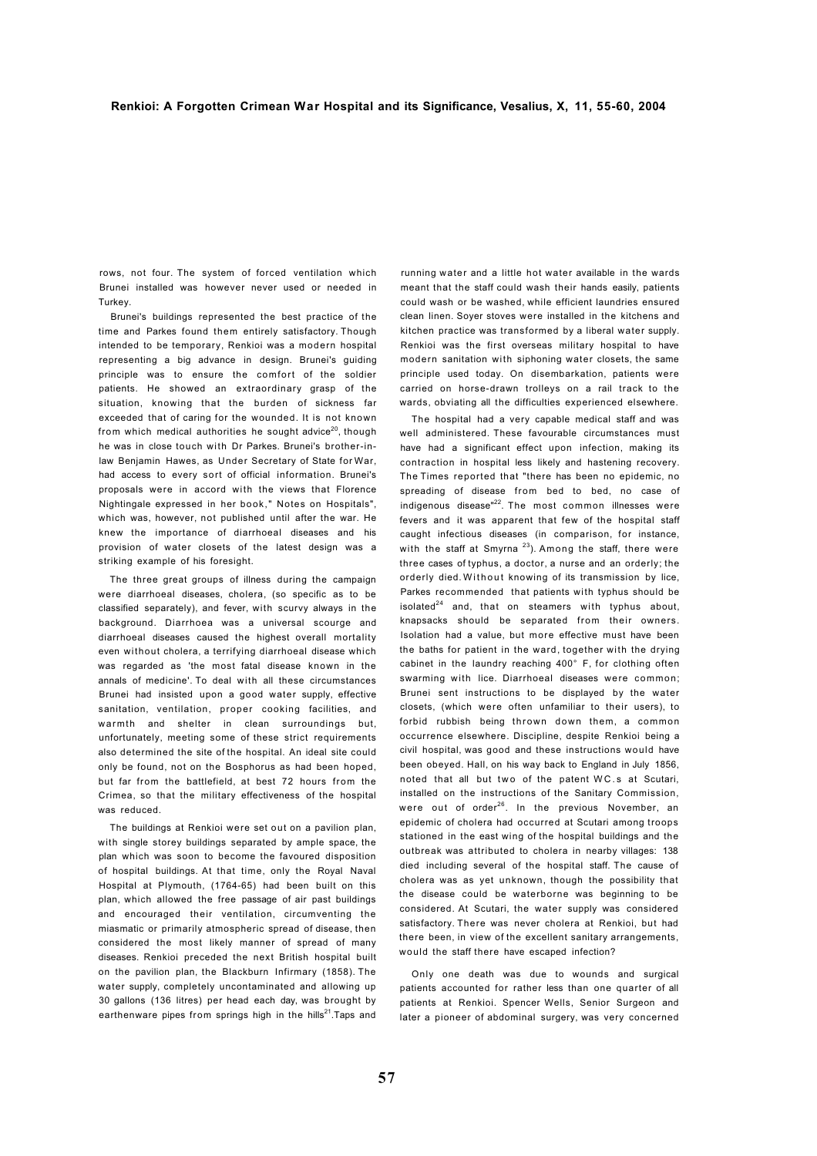rows, not four. The system of forced ventilation which Brunei installed was however never used or needed in Turkey.

Brunei's buildings represented the best practice of the time and Parkes found them entirely satisfactory. Though intended to be temporary, Renkioi was a modern hospital representing a big advance in design. Brunei's guiding principle was to ensure the comfort of the soldier patients. He showed an extraordinary grasp of the situation, knowing that the burden of sickness far exceeded that of caring for the wounded. It is not known from which medical authorities he sought advice<sup>20</sup>, though he was in close touch with Dr Parkes. Brunei's brother-inlaw Benjamin Hawes, as Under Secretary of State for War, had access to every sort of official information. Brunei's proposals were in accord with the views that Florence Nightingale expressed in her book," Notes on Hospitals", which was, however, not published until after the war. He knew the importance of diarrhoeal diseases and his provision of water closets of the latest design was a striking example of his foresight.

The three great groups of illness during the campaign were diarrhoeal diseases, cholera, (so specific as to be classified separately), and fever, with scurvy always in the background. Diarrhoea was a universal scourge and diarrhoeal diseases caused the highest overall mortality even without cholera, a terrifying diarrhoeal disease which was regarded as 'the most fatal disease known in the annals of medicine'. To deal with all these circumstances Brunei had insisted upon a good water supply, effective sanitation, ventilation, proper cooking facilities, and warmth and shelter in clean surroundings but, unfortunately, meeting some of these strict requirements also determined the site of the hospital. An ideal site could only be found, not on the Bosphorus as had been hoped, but far from the battlefield, at best 72 hours from the Crimea, so that the military effectiveness of the hospital was reduced.

The buildings at Renkioi were set out on a pavilion plan, with single storey buildings separated by ample space, the plan which was soon to become the favoured disposition of hospital buildings. At that time, only the Royal Naval Hospital at Plymouth, (1764-65) had been built on this plan, which allowed the free passage of air past buildings and encouraged their ventilation, circumventing the miasmatic or primarily atmospheric spread of disease, then considered the most likely manner of spread of many diseases. Renkioi preceded the next British hospital built on the pavilion plan, the Blackburn Infirmary (1858). The water supply, completely uncontaminated and allowing up 30 gallons (136 litres) per head each day, was brought by earthenware pipes from springs high in the hills<sup>21</sup>. Taps and running water and a little hot water available in the wards meant that the staff could wash their hands easily, patients could wash or be washed, while efficient laundries ensured clean linen. Soyer stoves were installed in the kitchens and kitchen practice was transformed by a liberal water supply. Renkioi was the first overseas military hospital to have modern sanitation with siphoning water closets, the same principle used today. On disembarkation, patients were carried on horse-drawn trolleys on a rail track to the wards, obviating all the difficulties experienced elsewhere.

The hospital had a very capable medical staff and was well administered. These favourable circumstances must have had a significant effect upon infection, making its contraction in hospital less likely and hastening recovery. The Times reported that "there has been no epidemic, no spreading of disease from bed to bed, no case of indigenous disease"<sup>22</sup>. The most common illnesses were fevers and it was apparent that few of the hospital staff caught infectious diseases (in comparison, for instance, with the staff at Smyrna<sup>23</sup>). Among the staff, there were three cases of typhus, a doctor, a nurse and an orderly; the orderly died. Without knowing of its transmission by lice, Parkes recommended that patients with typhus should be isolated $^{24}$  and, that on steamers with typhus about, knapsacks should be separated from their owners. Isolation had a value, but more effective must have been the baths for patient in the ward, together with the drying cabinet in the laundry reaching 400° F, for clothing often swarming with lice. Diarrhoeal diseases were common; Brunei sent instructions to be displayed by the water closets, (which were often unfamiliar to their users), to forbid rubbish being thrown down them, a common occurrence elsewhere. Discipline, despite Renkioi being a civil hospital, was good and these instructions would have been obeyed. Hall, on his way back to England in July 1856, noted that all but two of the patent WC .s at Scutari, installed on the instructions of the Sanitary Commission, were out of order<sup>26</sup>. In the previous November, an epidemic of cholera had occurred at Scutari among troops stationed in the east wing of the hospital buildings and the outbreak was attributed to cholera in nearby villages: 138 died including several of the hospital staff. The cause of cholera was as yet unknown, though the possibility that the disease could be waterborne was beginning to be considered. At Scutari, the water supply was considered satisfactory. There was never cholera at Renkioi, but had there been, in view of the excellent sanitary arrangements, would the staff there have escaped infection?

Only one death was due to wounds and surgical patients accounted for rather less than one quarter of all patients at Renkioi. Spencer Wells, Senior Surgeon and later a pioneer of abdominal surgery, was very concerned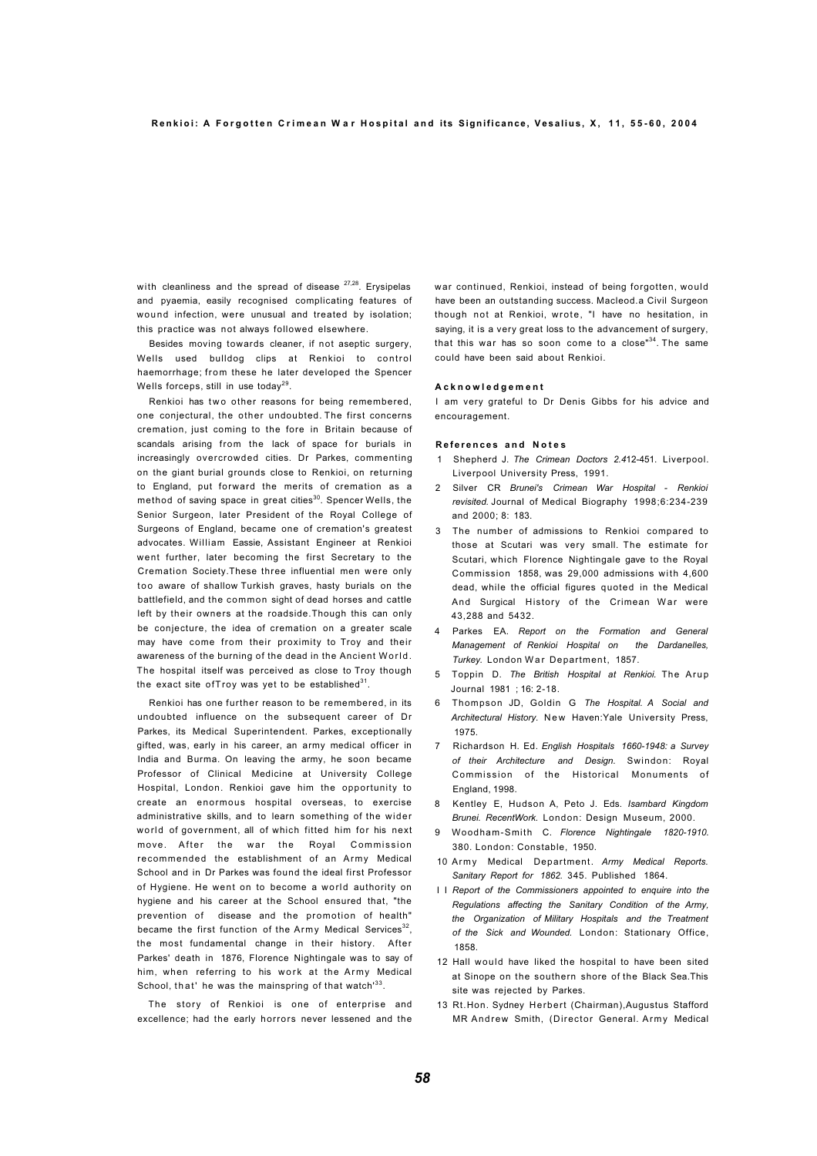with cleanliness and the spread of disease  $27,28$ . Erysipelas and pyaemia, easily recognised complicating features of wound infection, were unusual and treated by isolation; this practice was not always followed elsewhere.

Besides moving towards cleaner, if not aseptic surgery, Wells used bulldog clips at Renkioi to control haemorrhage; from these he later developed the Spencer Wells forceps, still in use today<sup>29</sup>.

Renkioi has two other reasons for being remembered, one conjectural, the other undoubted. The first concerns cremation, just coming to the fore in Britain because of scandals arising from the lack of space for burials in increasingly overcrowded cities. Dr Parkes, commenting on the giant burial grounds close to Renkioi, on returning to England, put forward the merits of cremation as a method of saving space in great cities<sup>30</sup>. Spencer Wells, the Senior Surgeon, later President of the Royal College of Surgeons of England, became one of cremation's greatest advocates. William Eassie, Assistant Engineer at Renkioi went further, later becoming the first Secretary to the Cremation Society.These three influential men were only too aware of shallow Turkish graves, hasty burials on the battlefield, and the common sight of dead horses and cattle left by their owners at the roadside.Though this can only be conjecture, the idea of cremation on a greater scale may have come from their proximity to Troy and their awareness of the burning of the dead in the Ancient World. The hospital itself was perceived as close to Troy though the exact site ofTroy was yet to be established $^{31}$ .

Renkioi has one further reason to be remembered, in its undoubted influence on the subsequent career of Dr Parkes, its Medical Superintendent. Parkes, exceptionally gifted, was, early in his career, an army medical officer in India and Burma. On leaving the army, he soon became Professor of Clinical Medicine at University College Hospital, London. Renkioi gave him the opportunity to create an enormous hospital overseas, to exercise administrative skills, and to learn something of the wider world of government, all of which fitted him for his next move. After the war the Royal Commission recommended the establishment of an Army Medical School and in Dr Parkes was found the ideal first Professor of Hygiene. He went on to become a world authority on hygiene and his career at the School ensured that, "the prevention of disease and the promotion of health" became the first function of the Army Medical Services<sup>32</sup>, the most fundamental change in their history. After Parkes' death in 1876, Florence Nightingale was to say of him, when referring to his work at the Army Medical School, that' he was the mainspring of that watch<sup>33</sup>.

The story of Renkioi is one of enterprise and excellence; had the early horrors never lessened and the

war continued, Renkioi, instead of being forgotten, would have been an outstanding success. Macleod.a Civil Surgeon though not at Renkioi, wrote, "I have no hesitation, in saying, it is a very great loss to the advancement of surgery. that this war has so soon come to a close"<sup>34</sup>. The same could have been said about Renkioi.

#### **A c k n o w l e d g e m e n t**

I am very grateful to Dr Denis Gibbs for his advice and encouragement.

#### **R e f e r e n c e s a n d N o t e s**

- 1 Shepherd J. *The Crimean Doctors 2.4*12-451. Liverpool. Liverpool University Press, 1991.
- 2 Silver CR *Brunei's Crimean War Hospital Renkioi revisited.* Journal of Medical Biography 1998;6:234-239 and 2000; 8: 183.
- The number of admissions to Renkioi compared to those at Scutari was very small. The estimate for Scutari, which Florence Nightingale gave to the Royal Commission 1858, was 29,000 admissions with 4,600 dead, while the official figures quoted in the Medical And Surgical History of the Crimean War were 43,288 and 5432.
- 4 Parkes EA. *Report on the Formation and General Management of Renkioi Hospital on the Dardanelles, Turkey.* London War Department, 1857.
- 5 Toppin D. *The British Hospital at Renkioi.* The Arup Journal 1981 ; 16: 2-18.
- 6 Thompson JD, Goldin G *The Hospital. A Social and*  Architectural History. New Haven: Yale University Press, 1975.
- 7 Richardson H. Ed. *English Hospitals 1660-1948: a Survey of their Architecture and Design.* Swindon: Royal Commission of the Historical Monuments of England, 1998.
- 8 Kentley E, Hudson A, Peto J. Eds. *Isambard Kingdom Brunei. RecentWork.* London: Design Museum, 2000.
- 9 Woodham-Smith C. *Florence Nightingale 1820-1910.*  380. London: Constable, 1950.
- 10 Army Medical Department. *Army Medical Reports. Sanitary Report for 1862.* 345. Published 1864.
- I I *Report of the Commissioners appointed to enquire into the Regulations affecting the Sanitary Condition of the Army, the Organization of Military Hospitals and the Treatment of the Sick and Wounded.* London: Stationary Office, 1858.
- 12 Hall would have liked the hospital to have been sited at Sinope on the southern shore of the Black Sea.This site was rejected by Parkes.
- 13 Rt.Hon. Sydney Herbert (Chairman),Augustus Stafford MR Andrew Smith, (Director General. Army Medical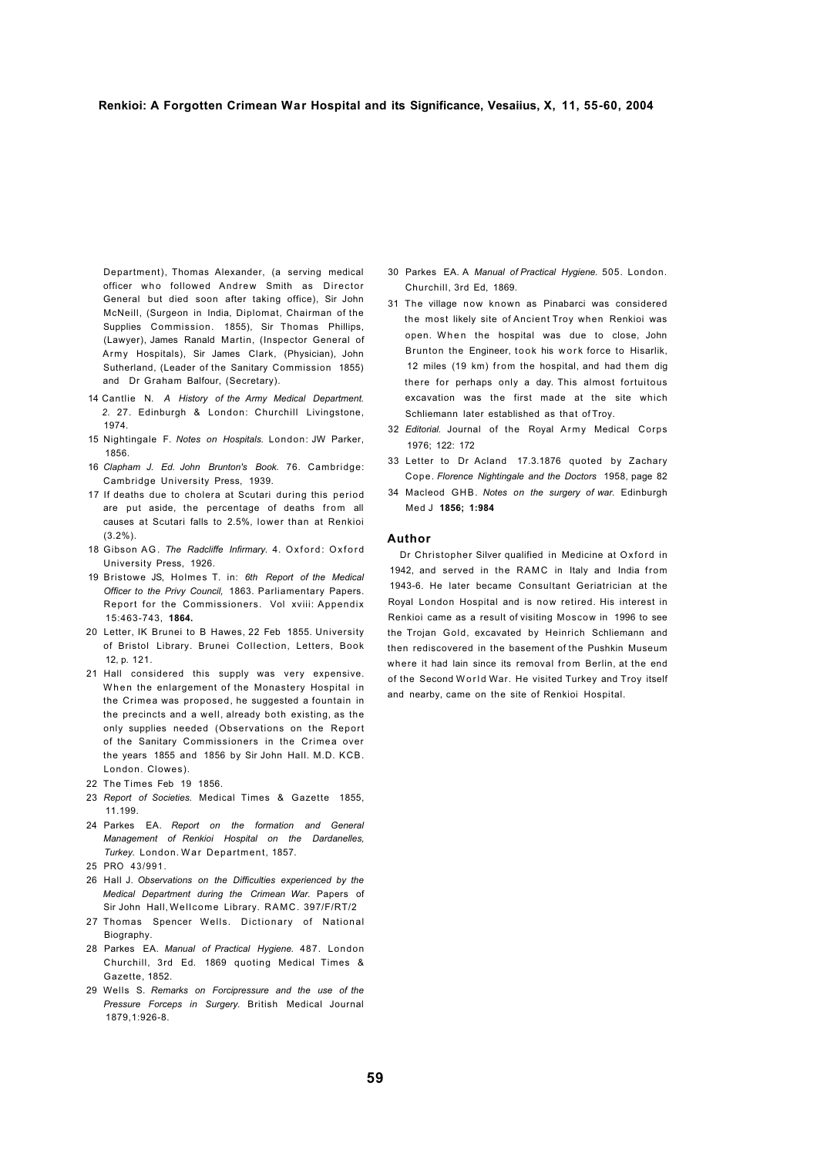Department), Thomas Alexander, (a serving medical officer who followed Andrew Smith as Director General but died soon after taking office), Sir John McNeill, (Surgeon in India, Diplomat, Chairman of the Supplies Commission. 1855), Sir Thomas Phillips, (Lawyer), James Ranald Martin, (Inspector General of Army Hospitals), Sir James Clark, (Physician), John Sutherland, (Leader of the Sanitary Commission 1855) and Dr Graham Balfour, (Secretary).

- 14 Cantlie N. *A History of the Army Medical Department. 2.* 27. Edinburgh & London: Churchill Livingstone, 1974.
- 15 Nightingale F. *Notes on Hospitals.* London: JW Parker, 1856.
- 16 *Clapham J. Ed. John Brunton's Book.* 76. Cambridge: Cambridge University Press, 1939.
- 17 If deaths due to cholera at Scutari during this period are put aside, the percentage of deaths from all causes at Scutari falls to 2.5%, lower than at Renkioi  $(3.2\%)$ .
- 18 Gibson AG. The Radcliffe Infirmary. 4. Oxford: Oxford University Press, 1926.
- 19 Bristowe JS, Holmes T. in: *6th Report of the Medical Officer to the Privy Council,* 1863. Parliamentary Papers. Report for the Commissioners. Vol xviii: Appendix 15:463-743, **1864.**
- 20 Letter, IK Brunei to B Hawes, 22 Feb 1855. University of Bristol Library. Brunei Collection, Letters, Book 12, p. 121.
- 21 Hall considered this supply was very expensive. When the enlargement of the Monastery Hospital in the Crimea was proposed, he suggested a fountain in the precincts and a well, already both existing, as the only supplies needed (Observations on the Report of the Sanitary Commissioners in the Crimea over the years 1855 and 1856 by Sir John Hall. M.D. KCB. London. Clowes).
- 22 The Times Feb 19 1856.
- 23 *Report of Societies.* Medical Times & Gazette 1855, 11.199.
- 24 Parkes EA. *Report on the formation and General Management of Renkioi Hospital on the Dardanelles, Turkey.* London. War Department, 1857.
- 25 PRO 43/991.
- 26 Hall J. *Observations on the Difficulties experienced by the Medical Department during the Crimean War.* Papers of Sir John Hall, Wellcome Library. RAMC. 397/F/RT/2
- 27 Thomas Spencer Wells. Dictionary of National Biography.
- 28 Parkes EA. *Manual of Practical Hygiene.* 487. London Churchill, 3rd Ed. 1869 quoting Medical Times & Gazette, 1852.
- 29 Wells S. *Remarks on Forcipressure and the use of the Pressure Forceps in Surgery.* British Medical Journal 1879,1:926-8.
- 30 Parkes EA. A *Manual of Practical Hygiene.* 505. London. Churchill, 3rd Ed, 1869.
- 31 The village now known as Pinabarci was considered the most likely site of Ancient Troy when Renkioi was open. When the hospital was due to close, John Brunton the Engineer, took his work force to Hisarlik, 12 miles (19 km) from the hospital, and had them dig there for perhaps only a day. This almost fortuitous excavation was the first made at the site which Schliemann later established as that of Troy.
- 32 *Editorial.* Journal of the Royal Army Medical Corps 1976; 122: 172
- 33 Letter to Dr Acland 17.3.1876 quoted by Zachary Cope. *Florence Nightingale and the Doctors* 1958, page 82
- 34 Macleod GHB. *Notes on the surgery of war.* Edinburgh Med J **1856; 1:984**

#### **Author**

Dr Christopher Silver qualified in Medicine at Oxford in 1942, and served in the RAMC in Italy and India from 1943-6. He later became Consultant Geriatrician at the Royal London Hospital and is now retired. His interest in Renkioi came as a result of visiting Moscow in 1996 to see the Trojan Gold, excavated by Heinrich Schliemann and then rediscovered in the basement of the Pushkin Museum where it had lain since its removal from Berlin, at the end of the Second World War. He visited Turkey and Troy itself and nearby, came on the site of Renkioi Hospital.